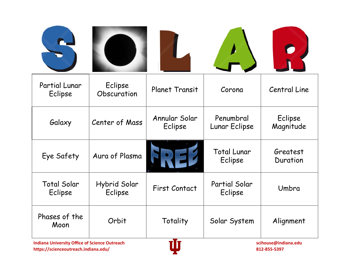| Partial Lunar<br>Eclipse                                                                                | Eclipse<br>Obscuration  | <b>Planet Transit</b>    | Corona                        | Central Line         |
|---------------------------------------------------------------------------------------------------------|-------------------------|--------------------------|-------------------------------|----------------------|
| Galaxy                                                                                                  | Center of Mass          | Annular Solar<br>Eclipse | Penumbral<br>Lunar Eclipse    | Eclipse<br>Magnitude |
| Eye Safety                                                                                              | Aura of Plasma          |                          | <b>Total Lunar</b><br>Eclipse | Greatest<br>Duration |
| <b>Total Solar</b><br>Eclipse                                                                           | Hybrid Solar<br>Eclipse | <b>First Contact</b>     | Partial Solar<br>Eclipse      | Umbra                |
| Phases of the<br>Moon                                                                                   | Orbit                   | Totality                 | Solar System                  | Alignment            |
| -To<br>Indiana Huisseniks Office of Coinnea Ostrogode<br>الموالد والمستقلة والمتناقص والمستحدث والمتالي |                         |                          |                               |                      |

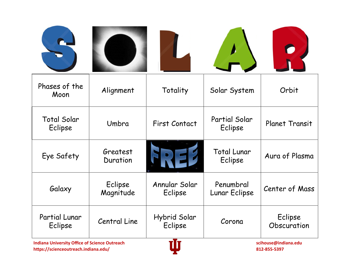| Phases of the<br>Moon         | Alignment            | Totality                        | Solar System                  | Orbit                  |
|-------------------------------|----------------------|---------------------------------|-------------------------------|------------------------|
| <b>Total Solar</b><br>Eclipse | Umbra                | <b>First Contact</b>            | Partial Solar<br>Eclipse      | <b>Planet Transit</b>  |
| Eye Safety                    | Greatest<br>Duration |                                 | <b>Total Lunar</b><br>Eclipse | Aura of Plasma         |
| Galaxy                        | Eclipse<br>Magnitude | Annular Solar<br>Eclipse        | Penumbral<br>Lunar Eclipse    | Center of Mass         |
| Partial Lunar<br>Eclipse      | <b>Central Line</b>  | Hybrid Solar<br>Eclipse<br>— T. | Corona                        | Eclipse<br>Obscuration |

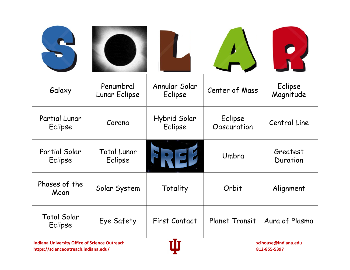| Galaxy                        | Penumbral<br>Lunar Eclipse    | Annular Solar<br>Eclipse      | Center of Mass         | Eclipse<br>Magnitude |
|-------------------------------|-------------------------------|-------------------------------|------------------------|----------------------|
| Partial Lunar<br>Eclipse      | Corona                        | Hybrid Solar<br>Eclipse       | Eclipse<br>Obscuration | Central Line         |
| Partial Solar<br>Eclipse      | <b>Total Lunar</b><br>Eclipse |                               | Umbra                  | Greatest<br>Duration |
| Phases of the<br>Moon         | Solar System                  | Totality                      | Orbit                  | Alignment            |
| <b>Total Solar</b><br>Eclipse | Eye Safety                    | <b>First Contact</b><br>5 T.L | <b>Planet Transit</b>  | Aura of Plasma       |

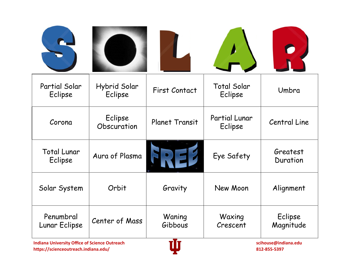| Partial Solar<br>Eclipse                                                      | Hybrid Solar<br>Eclipse | <b>First Contact</b>  | <b>Total Solar</b><br>Eclipse   | Umbra                |
|-------------------------------------------------------------------------------|-------------------------|-----------------------|---------------------------------|----------------------|
| Corona                                                                        | Eclipse<br>Obscuration  | <b>Planet Transit</b> | <b>Partial Lunar</b><br>Eclipse | Central Line         |
| <b>Total Lunar</b><br>Eclipse                                                 | Aura of Plasma          |                       | Eye Safety                      | Greatest<br>Duration |
| Solar System                                                                  | Orbit                   | Gravity               | New Moon                        | Alignment            |
| Penumbral<br>Lunar Eclipse                                                    | Center of Mass          | Waning<br>Gibbous     | Waxing<br>Crescent              | Eclipse<br>Magnitude |
| vTv.<br>Indiana University Office of Science Outreach<br>ccihouse@indiana.odu |                         |                       |                                 |                      |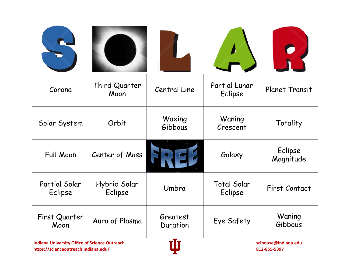| Corona                   | Third Quarter<br>Moon                                                        | Central Line         | Partial Lunar<br>Eclipse      | <b>Planet Transit</b> |
|--------------------------|------------------------------------------------------------------------------|----------------------|-------------------------------|-----------------------|
| Solar System             | Orbit                                                                        | Waxing<br>Gibbous    | Waning<br>Crescent            | Totality              |
| <b>Full Moon</b>         | Center of Mass                                                               |                      | Galaxy                        | Eclipse<br>Magnitude  |
| Partial Solar<br>Eclipse | Hybrid Solar<br>Eclipse                                                      | Umbra                | <b>Total Solar</b><br>Eclipse | <b>First Contact</b>  |
| First Quarter<br>Moon    | Aura of Plasma                                                               | Greatest<br>Duration | Eye Safety                    | Waning<br>Gibbous     |
|                          | vTv<br>Indiana University Office of Science Outrooch<br>relation@indiana_adu |                      |                               |                       |

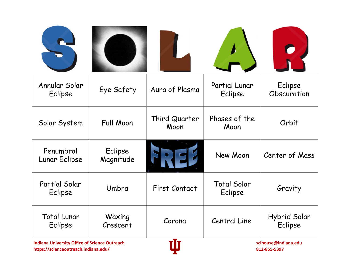| Annular Solar<br>Eclipse                                                                     | Eye Safety           | Aura of Plasma        | Partial Lunar<br>Eclipse             | Eclipse<br>Obscuration  |
|----------------------------------------------------------------------------------------------|----------------------|-----------------------|--------------------------------------|-------------------------|
| Solar System                                                                                 | <b>Full Moon</b>     | Third Quarter<br>Moon | Phases of the<br>Moon                | Orbit                   |
| Penumbral<br>Lunar Eclipse                                                                   | Eclipse<br>Magnitude |                       | New Moon                             | Center of Mass          |
| Partial Solar<br>Eclipse                                                                     | Umbra                | First Contact         | <b>Total Solar</b><br>Eclipse        | Gravity                 |
| <b>Total Lunar</b><br>Eclipse                                                                | Waxing<br>Crescent   | Corona                | Central Line                         | Hybrid Solar<br>Eclipse |
| <b>Indiana University Office of Science Outreach</b><br>https://scienceoutreach.indiana.edu/ |                      |                       | scihouse@indiana.edu<br>812-855-5397 |                         |

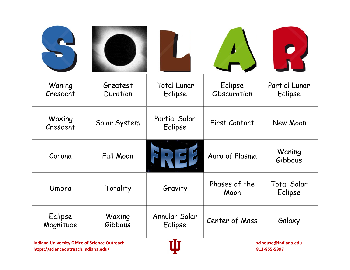| Waning<br>Crescent   | Greatest<br>Duration                                                         | <b>Total Lunar</b><br>Eclipse | Eclipse<br>Obscuration | Partial Lunar<br>Eclipse      |  |
|----------------------|------------------------------------------------------------------------------|-------------------------------|------------------------|-------------------------------|--|
| Waxing<br>Crescent   | Solar System                                                                 | Partial Solar<br>Eclipse      | <b>First Contact</b>   | New Moon                      |  |
| Corona               | <b>Full Moon</b>                                                             |                               | Aura of Plasma         | Waning<br>Gibbous             |  |
| Umbra                | Totality                                                                     | Gravity                       | Phases of the<br>Moon  | <b>Total Solar</b><br>Eclipse |  |
| Eclipse<br>Magnitude | Waxing<br>Gibbous                                                            | Annular Solar<br>Eclipse      | Center of Mass         | Galaxy                        |  |
|                      | vTv<br>Indiana University Office of Science Outroach<br>raihausa@indiana adu |                               |                        |                               |  |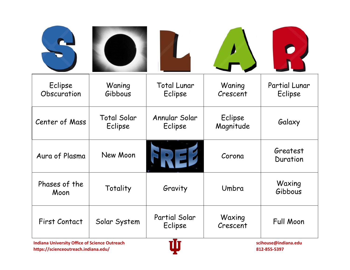| Eclipse<br>Obscuration                        | Waning<br>Gibbous             | <b>Total Lunar</b><br>Eclipse | Waning<br>Crescent   | Partial Lunar<br>Eclipse               |
|-----------------------------------------------|-------------------------------|-------------------------------|----------------------|----------------------------------------|
| Center of Mass                                | <b>Total Solar</b><br>Eclipse | Annular Solar<br>Eclipse      | Eclipse<br>Magnitude | Galaxy                                 |
| Aura of Plasma                                | New Moon                      |                               | Corona               | Greatest<br>Duration                   |
| Phases of the<br>Moon                         | Totality                      | Gravity                       | Umbra                | Waxing<br>Gibbous                      |
| <b>First Contact</b>                          | Solar System                  | Partial Solar<br>Eclipse      | Waxing<br>Crescent   | Full Moon                              |
| Indiana Hubrandhi Office of Colonse Ordinaede |                               | -T-                           |                      | المناسب المستمثلة منادها مستنصر والمتم |

**Indiana University Office of Science Outreach and Community Community Community Community Community Community Community Community Community States of Science Outreach and Community Community Community Community Community https://scienceoutreach.indiana.edu/ 812-855-5397**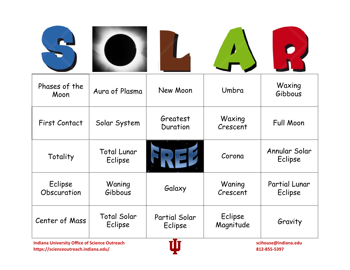| Phases of the<br>Moon  | Aura of Plasma                | New Moon                        | Umbra                | Waxing<br>Gibbous        |
|------------------------|-------------------------------|---------------------------------|----------------------|--------------------------|
| <b>First Contact</b>   | Solar System                  | Greatest<br>Duration            | Waxing<br>Crescent   | <b>Full Moon</b>         |
| Totality               | <b>Total Lunar</b><br>Eclipse |                                 | Corona               | Annular Solar<br>Eclipse |
| Eclipse<br>Obscuration | Waning<br>Gibbous             | Galaxy                          | Waning<br>Crescent   | Partial Lunar<br>Eclipse |
| Center of Mass         | <b>Total Solar</b><br>Eclipse | Partial Solar<br>Eclipse<br>-T- | Eclipse<br>Magnitude | Gravity                  |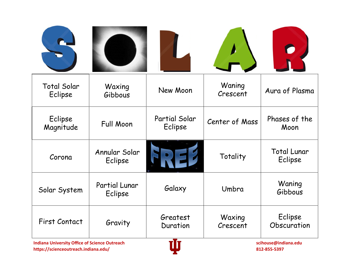| <b>Total Solar</b><br>Eclipse | Waxing<br>Gibbous                                                                                   | New Moon                 | Waning<br>Crescent | Aura of Plasma                |
|-------------------------------|-----------------------------------------------------------------------------------------------------|--------------------------|--------------------|-------------------------------|
| Eclipse<br>Magnitude          | <b>Full Moon</b>                                                                                    | Partial Solar<br>Eclipse | Center of Mass     | Phases of the<br>Moon         |
| Corona                        | Annular Solar<br>Eclipse                                                                            |                          | Totality           | <b>Total Lunar</b><br>Eclipse |
| Solar System                  | Partial Lunar<br>Eclipse                                                                            | Galaxy                   | Umbra              | Waning<br>Gibbous             |
| <b>First Contact</b>          | Gravity                                                                                             | Greatest<br>Duration     | Waxing<br>Crescent | Eclipse<br>Obscuration        |
|                               | -T-<br>Indiana Hubranity Office of Calence Ortwoods<br>المناوية المستوقف والمستحدث والمتحدد والمتحد |                          |                    |                               |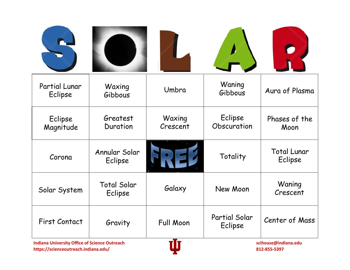| Partial Lunar<br>Eclipse                                                                              | Waxing<br>Gibbous             | Umbra              | Waning<br>Gibbous        | Aura of Plasma                |
|-------------------------------------------------------------------------------------------------------|-------------------------------|--------------------|--------------------------|-------------------------------|
| Eclipse<br>Magnitude                                                                                  | Greatest<br>Duration          | Waxing<br>Crescent | Eclipse<br>Obscuration   | Phases of the<br>Moon         |
| Corona                                                                                                | Annular Solar<br>Eclipse      |                    | Totality                 | <b>Total Lunar</b><br>Eclipse |
| Solar System                                                                                          | <b>Total Solar</b><br>Eclipse | Galaxy             | New Moon                 | Waning<br>Crescent            |
| <b>First Contact</b>                                                                                  | Gravity                       | <b>Full Moon</b>   | Partial Solar<br>Eclipse | Center of Mass                |
| -T-<br>Indiana Hubernite: Office of Colonse Octoberal<br>المناوية المستوقف والمستحدث والمتحدد والمتحد |                               |                    |                          |                               |

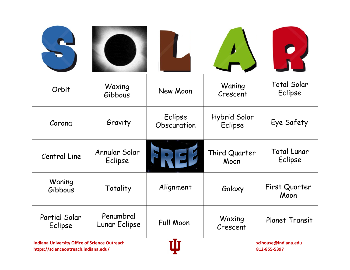| Orbit                                         | Waxing<br>Gibbous          | New Moon               | Waning<br>Crescent      | <b>Total Solar</b><br>Eclipse |
|-----------------------------------------------|----------------------------|------------------------|-------------------------|-------------------------------|
| Corona                                        | Gravity                    | Eclipse<br>Obscuration | Hybrid Solar<br>Eclipse | Eye Safety                    |
| Central Line                                  | Annular Solar<br>Eclipse   |                        | Third Quarter<br>Moon   | <b>Total Lunar</b><br>Eclipse |
| Waning<br>Gibbous                             | Totality                   | Alignment              | Galaxy                  | First Quarter<br>Moon         |
| Partial Solar<br>Eclipse                      | Penumbral<br>Lunar Eclipse | <b>Full Moon</b>       | Waxing<br>Crescent      | <b>Planet Transit</b>         |
| Indiana University Office of Science Outreach |                            | vTv                    |                         | ccihouse@indiana.odu          |

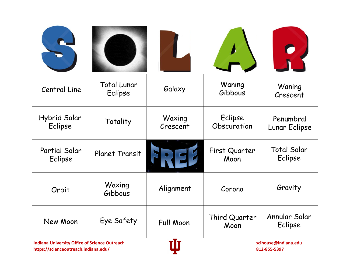| Central Line                                  | <b>Total Lunar</b><br>Eclipse | Galaxy             | Waning<br>Gibbous      | Waning<br>Crescent            |
|-----------------------------------------------|-------------------------------|--------------------|------------------------|-------------------------------|
| Hybrid Solar<br>Eclipse                       | Totality                      | Waxing<br>Crescent | Eclipse<br>Obscuration | Penumbral<br>Lunar Eclipse    |
| Partial Solar<br>Eclipse                      | Planet Transit                |                    | First Quarter<br>Moon  | <b>Total Solar</b><br>Eclipse |
| Orbit                                         | Waxing<br>Gibbous             | Alignment          | Corona                 | Gravity                       |
| New Moon                                      | Eye Safety                    | <b>Full Moon</b>   | Third Quarter<br>Moon  | Annular Solar<br>Eclipse      |
| Indiana University Office of Science Outreach |                               | vTv.               | cribouse@indiana.gdu.  |                               |

**Indiana University Office of Science Outreach and Science of Science Outreach and Science Outreach Science Outreach Science of Science Outreach and Science of Science Outreach and Science of Science of Science of Science https://scienceoutreach.indiana.edu/ 812-855-5397**

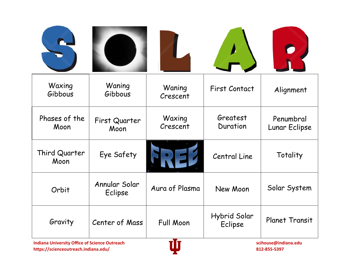| Waxing<br>Gibbous     | Waning<br>Gibbous        | Waning<br>Crescent | <b>First Contact</b>    | Alignment                  |
|-----------------------|--------------------------|--------------------|-------------------------|----------------------------|
| Phases of the<br>Moon | First Quarter<br>Moon    | Waxing<br>Crescent | Greatest<br>Duration    | Penumbral<br>Lunar Eclipse |
| Third Quarter<br>Moon | Eye Safety               |                    | Central Line            | Totality                   |
| Orbit                 | Annular Solar<br>Eclipse | Aura of Plasma     | New Moon                | Solar System               |
| Gravity               | Center of Mass           | <b>Full Moon</b>   | Hybrid Solar<br>Eclipse | <b>Planet Transit</b>      |

**Indiana University Office of Science Outreach Science of Science Outreach scihouse@indiana.edu** scihouse@indiana.edu<br>https://scienceoutreach.indiana.edu/ 812-855-5397 **https://scienceoutreach.indiana.edu/ 812-855-5397**

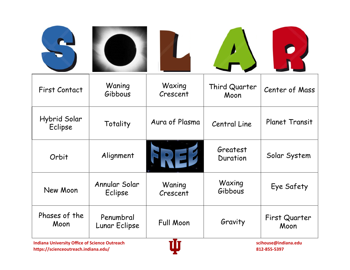| <b>First Contact</b>                          | Waning<br>Gibbous          | Waxing<br>Crescent | Third Quarter<br>Moon | Center of Mass        |
|-----------------------------------------------|----------------------------|--------------------|-----------------------|-----------------------|
| Hybrid Solar<br>Eclipse                       | Totality                   | Aura of Plasma     | Central Line          | <b>Planet Transit</b> |
| Orbit                                         | Alignment                  |                    | Greatest<br>Duration  | Solar System          |
| New Moon                                      | Annular Solar<br>Eclipse   | Waning<br>Crescent | Waxing<br>Gibbous     | Eye Safety            |
| Phases of the<br>Moon                         | Penumbral<br>Lunar Eclipse | <b>Full Moon</b>   | Gravity               | First Quarter<br>Moon |
| Indiana University Office of Science Outreach |                            | vTv                |                       | ccihouse@indiana.odu  |

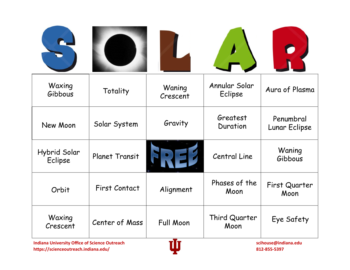| Waxing<br>Gibbous       | Totality                                               | Waning<br>Crescent | Annular Solar<br>Eclipse | Aura of Plasma             |
|-------------------------|--------------------------------------------------------|--------------------|--------------------------|----------------------------|
| New Moon                | Solar System                                           | Gravity            | Greatest<br>Duration     | Penumbral<br>Lunar Eclipse |
| Hybrid Solar<br>Eclipse | <b>Planet Transit</b>                                  |                    | Central Line             | Waning<br>Gibbous          |
| Orbit                   | <b>First Contact</b>                                   | Alignment          | Phases of the<br>Moon    | First Quarter<br>Moon      |
| Waxing<br>Crescent      | Center of Mass                                         | <b>Full Moon</b>   | Third Quarter<br>Moon    | Eye Safety                 |
|                         | ÷T÷<br>Justine Holmander Office of Colombia Ordensials |                    |                          |                            |

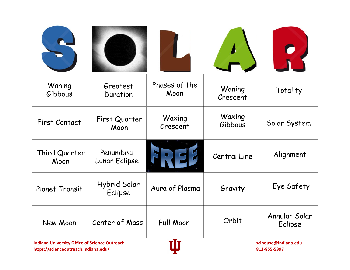| Waning<br>Gibbous                                                                                                     | Greatest<br>Duration       | Phases of the<br>Moon | Waning<br>Crescent  | Totality                 |
|-----------------------------------------------------------------------------------------------------------------------|----------------------------|-----------------------|---------------------|--------------------------|
| <b>First Contact</b>                                                                                                  | First Quarter<br>Moon      | Waxing<br>Crescent    | Waxing<br>Gibbous   | Solar System             |
| Third Quarter<br>Moon                                                                                                 | Penumbral<br>Lunar Eclipse |                       | <b>Central Line</b> | Alignment                |
| <b>Planet Transit</b>                                                                                                 | Hybrid Solar<br>Eclipse    | Aura of Plasma        | Gravity             | Eye Safety               |
| New Moon                                                                                                              | Center of Mass             | <b>Full Moon</b>      | Orbit               | Annular Solar<br>Eclipse |
| ÷T÷<br>the diamond in the constant Officer of Catalogue Orchargeda.<br>وبالمستر والمستقلة والمستحدث والمستنقذ والقوام |                            |                       |                     |                          |

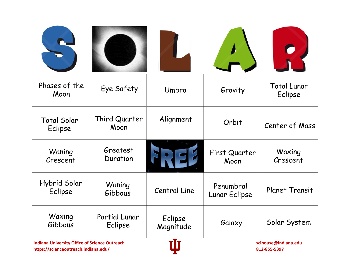| Phases of the<br>Moon         | Eye Safety               | Umbra                       | Gravity                    | <b>Total Lunar</b><br>Eclipse |
|-------------------------------|--------------------------|-----------------------------|----------------------------|-------------------------------|
| <b>Total Solar</b><br>Eclipse | Third Quarter<br>Moon    | Alignment                   | Orbit                      | Center of Mass                |
| Waning<br>Crescent            | Greatest<br>Duration     |                             | First Quarter<br>Moon      | Waxing<br>Crescent            |
| Hybrid Solar<br>Eclipse       | Waning<br>Gibbous        | <b>Central Line</b>         | Penumbral<br>Lunar Eclipse | Planet Transit                |
| Waxing<br>Gibbous             | Partial Lunar<br>Eclipse | Eclipse<br>Magnitude<br>-T- | Galaxy                     | Solar System                  |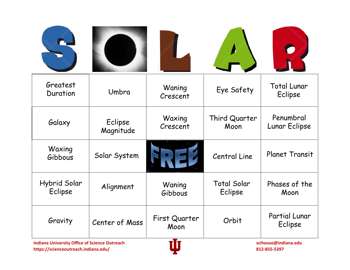| Greatest<br>Duration                       | Umbra                | Waning<br>Crescent    | Eye Safety                    | <b>Total Lunar</b><br>Eclipse |
|--------------------------------------------|----------------------|-----------------------|-------------------------------|-------------------------------|
| Galaxy                                     | Eclipse<br>Magnitude | Waxing<br>Crescent    | Third Quarter<br>Moon         | Penumbral<br>Lunar Eclipse    |
| Waxing<br>Gibbous                          | Solar System         |                       | <b>Central Line</b>           | <b>Planet Transit</b>         |
| Hybrid Solar<br>Eclipse                    | Alignment            | Waning<br>Gibbous     | <b>Total Solar</b><br>Eclipse | Phases of the<br>Moon         |
| Gravity                                    | Center of Mass       | First Quarter<br>Moon | Orbit                         | Partial Lunar<br>Eclipse      |
| <b>A DOMESTIC PROPERTY AND ARRAIGNMENT</b> |                      | -T-                   |                               |                               |